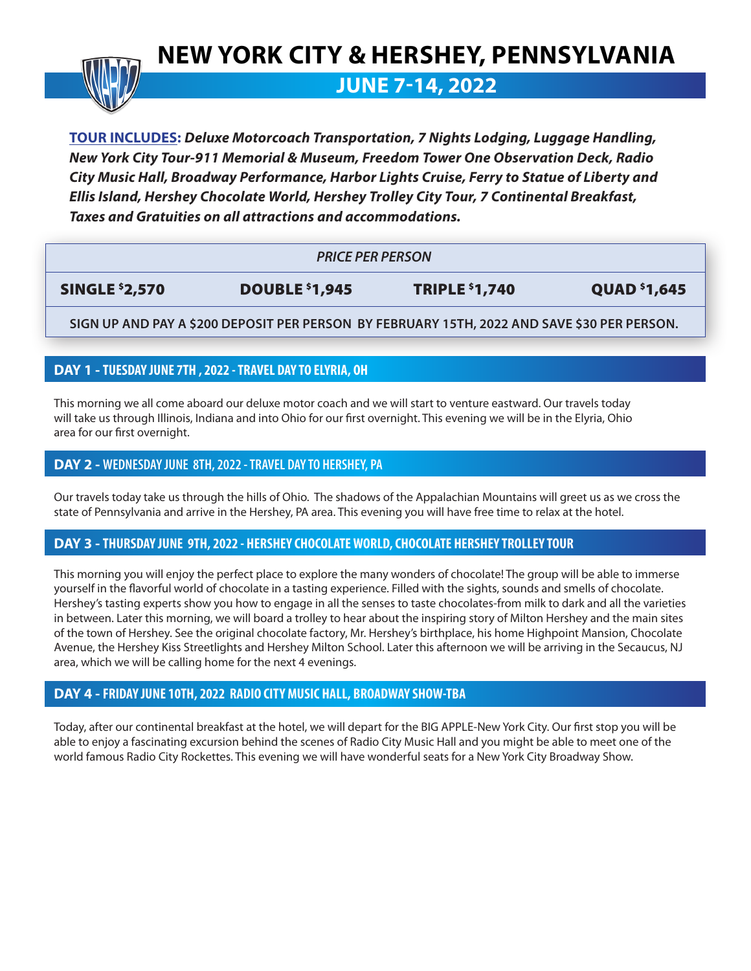# **NEW YORK CITY & HERSHEY, PENNSYLVANIA**



**JUNE 7-14, 2022**

**TOUR INCLUDES:** *Deluxe Motorcoach Transportation, 7 Nights Lodging, Luggage Handling, New York City Tour-911 Memorial & Museum, Freedom Tower One Observation Deck, Radio City Music Hall, Broadway Performance, Harbor Lights Cruise, Ferry to Statue of Liberty and Ellis Island, Hershey Chocolate World, Hershey Trolley City Tour, 7 Continental Breakfast, Taxes and Gratuities on all attractions and accommodations.* 

| <b>PRICE PER PERSON</b> |                       |                       |                                 |
|-------------------------|-----------------------|-----------------------|---------------------------------|
| <b>SINGLE \$2,570</b>   | <b>DOUBLE \$1,945</b> | <b>TRIPLE \$1,740</b> | <b>QUAD</b> <sup>\$</sup> 1,645 |

**SIGN UP AND PAY A \$200 DEPOSIT PER PERSON BY FEBRUARY 15TH, 2022 AND SAVE \$30 PER PERSON.**

# **DAY 1 - TUESDAY JUNE 7TH , 2022 - TRAVEL DAY TO ELYRIA, OH**

This morning we all come aboard our deluxe motor coach and we will start to venture eastward. Our travels today will take us through Illinois, Indiana and into Ohio for our first overnight. This evening we will be in the Elyria, Ohio area for our first overnight.

#### **DAY 2 - WEDNESDAY JUNE 8TH, 2022 - TRAVEL DAY TO HERSHEY, PA**

Our travels today take us through the hills of Ohio. The shadows of the Appalachian Mountains will greet us as we cross the state of Pennsylvania and arrive in the Hershey, PA area. This evening you will have free time to relax at the hotel.

## **DAY 3 - THURSDAY JUNE 9TH, 2022 - HERSHEY CHOCOLATE WORLD, CHOCOLATE HERSHEY TROLLEY TOUR**

This morning you will enjoy the perfect place to explore the many wonders of chocolate! The group will be able to immerse yourself in the flavorful world of chocolate in a tasting experience. Filled with the sights, sounds and smells of chocolate. Hershey's tasting experts show you how to engage in all the senses to taste chocolates-from milk to dark and all the varieties in between. Later this morning, we will board a trolley to hear about the inspiring story of Milton Hershey and the main sites of the town of Hershey. See the original chocolate factory, Mr. Hershey's birthplace, his home Highpoint Mansion, Chocolate Avenue, the Hershey Kiss Streetlights and Hershey Milton School. Later this afternoon we will be arriving in the Secaucus, NJ area, which we will be calling home for the next 4 evenings.

## **DAY 4 - FRIDAY JUNE 10TH, 2022 RADIO CITY MUSIC HALL, BROADWAY SHOW-TBA**

Today, after our continental breakfast at the hotel, we will depart for the BIG APPLE-New York City. Our first stop you will be able to enjoy a fascinating excursion behind the scenes of Radio City Music Hall and you might be able to meet one of the world famous Radio City Rockettes. This evening we will have wonderful seats for a New York City Broadway Show.